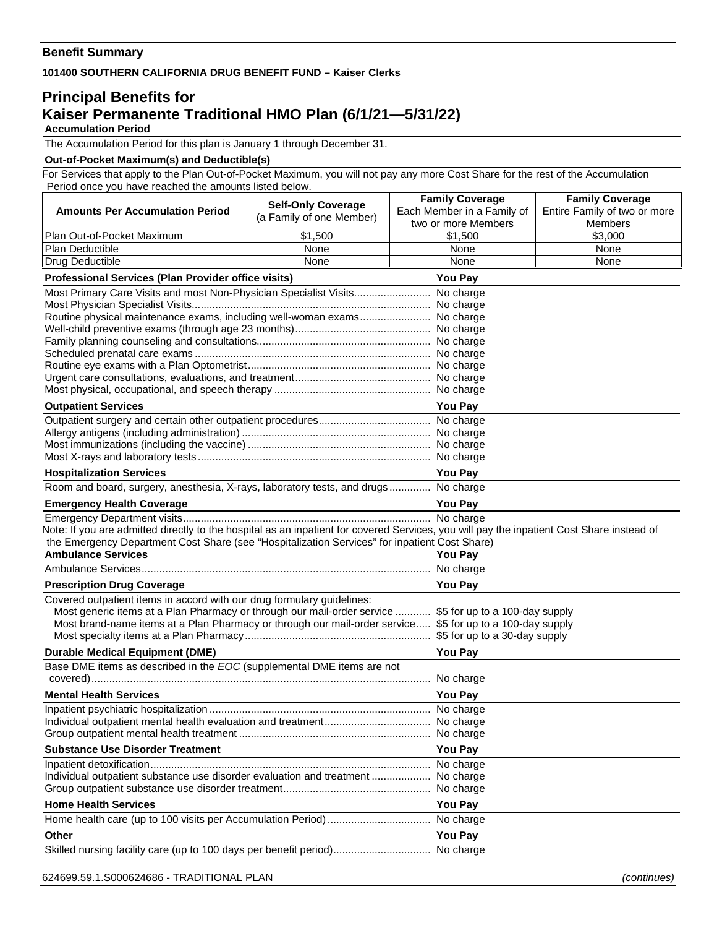## **Benefit Summary**

**101400 SOUTHERN CALIFORNIA DRUG BENEFIT FUND – Kaiser Clerks** 

## **Principal Benefits for Kaiser Permanente Traditional HMO Plan (6/1/21—5/31/22) Accumulation Period**

The Accumulation Period for this plan is January 1 through December 31.

## **Out-of-Pocket Maximum(s) and Deductible(s)**

For Services that apply to the Plan Out-of-Pocket Maximum, you will not pay any more Cost Share for the rest of the Accumulation Period once you have reached the amounts listed below.

| <b>Amounts Per Accumulation Period</b>                                                                                                                                            | <b>Self-Only Coverage</b><br>(a Family of one Member)                                                                 | <b>Family Coverage</b><br>Each Member in a Family of | <b>Family Coverage</b><br>Entire Family of two or more |  |
|-----------------------------------------------------------------------------------------------------------------------------------------------------------------------------------|-----------------------------------------------------------------------------------------------------------------------|------------------------------------------------------|--------------------------------------------------------|--|
|                                                                                                                                                                                   |                                                                                                                       | two or more Members                                  | Members                                                |  |
| Plan Out-of-Pocket Maximum<br>Plan Deductible                                                                                                                                     | \$1,500<br>None                                                                                                       | \$1.500<br>None                                      | \$3.000<br>None                                        |  |
| Drug Deductible                                                                                                                                                                   | None                                                                                                                  | None                                                 | None                                                   |  |
| Professional Services (Plan Provider office visits)                                                                                                                               |                                                                                                                       | <b>You Pay</b>                                       |                                                        |  |
| Most Primary Care Visits and most Non-Physician Specialist Visits No charge                                                                                                       |                                                                                                                       |                                                      |                                                        |  |
|                                                                                                                                                                                   |                                                                                                                       |                                                      |                                                        |  |
| Routine physical maintenance exams, including well-woman exams No charge                                                                                                          |                                                                                                                       |                                                      |                                                        |  |
|                                                                                                                                                                                   |                                                                                                                       |                                                      |                                                        |  |
|                                                                                                                                                                                   |                                                                                                                       |                                                      |                                                        |  |
|                                                                                                                                                                                   |                                                                                                                       |                                                      |                                                        |  |
|                                                                                                                                                                                   |                                                                                                                       |                                                      |                                                        |  |
|                                                                                                                                                                                   |                                                                                                                       |                                                      |                                                        |  |
| <b>Outpatient Services</b>                                                                                                                                                        | <b>You Pay</b>                                                                                                        |                                                      |                                                        |  |
|                                                                                                                                                                                   |                                                                                                                       |                                                      |                                                        |  |
|                                                                                                                                                                                   |                                                                                                                       |                                                      |                                                        |  |
|                                                                                                                                                                                   |                                                                                                                       |                                                      |                                                        |  |
| <b>Hospitalization Services</b>                                                                                                                                                   |                                                                                                                       | <b>You Pay</b>                                       |                                                        |  |
| Room and board, surgery, anesthesia, X-rays, laboratory tests, and drugs No charge                                                                                                |                                                                                                                       |                                                      |                                                        |  |
| <b>Emergency Health Coverage</b>                                                                                                                                                  | <b>You Pay</b>                                                                                                        |                                                      |                                                        |  |
|                                                                                                                                                                                   | <u> 1989 - Johann Barn, mars ann an t-Amhain Aonaichte ann an t-Aonaichte ann an t-Aonaichte ann an t-Aonaichte a</u> |                                                      |                                                        |  |
| Note: If you are admitted directly to the hospital as an inpatient for covered Services, you will pay the inpatient Cost Share instead of                                         |                                                                                                                       |                                                      |                                                        |  |
| the Emergency Department Cost Share (see "Hospitalization Services" for inpatient Cost Share)                                                                                     |                                                                                                                       |                                                      |                                                        |  |
| <b>Ambulance Services</b>                                                                                                                                                         | <b>You Pay</b>                                                                                                        |                                                      |                                                        |  |
|                                                                                                                                                                                   |                                                                                                                       |                                                      |                                                        |  |
| <b>You Pay</b><br><b>Prescription Drug Coverage</b>                                                                                                                               |                                                                                                                       |                                                      |                                                        |  |
| Covered outpatient items in accord with our drug formulary guidelines:<br>Most generic items at a Plan Pharmacy or through our mail-order service  \$5 for up to a 100-day supply |                                                                                                                       |                                                      |                                                        |  |
| Most brand-name items at a Plan Pharmacy or through our mail-order service \$5 for up to a 100-day supply                                                                         |                                                                                                                       |                                                      |                                                        |  |
|                                                                                                                                                                                   |                                                                                                                       |                                                      |                                                        |  |
| <b>Durable Medical Equipment (DME)</b>                                                                                                                                            | You Pay                                                                                                               |                                                      |                                                        |  |
| Base DME items as described in the EOC (supplemental DME items are not                                                                                                            |                                                                                                                       |                                                      |                                                        |  |
|                                                                                                                                                                                   |                                                                                                                       |                                                      |                                                        |  |
| <b>Mental Health Services</b>                                                                                                                                                     |                                                                                                                       | <b>You Pay</b>                                       |                                                        |  |
|                                                                                                                                                                                   |                                                                                                                       |                                                      |                                                        |  |
|                                                                                                                                                                                   |                                                                                                                       |                                                      |                                                        |  |
|                                                                                                                                                                                   |                                                                                                                       |                                                      |                                                        |  |
| <b>Substance Use Disorder Treatment</b>                                                                                                                                           |                                                                                                                       | <b>You Pay</b>                                       |                                                        |  |
| Individual outpatient substance use disorder evaluation and treatment  No charge                                                                                                  |                                                                                                                       |                                                      |                                                        |  |
|                                                                                                                                                                                   |                                                                                                                       |                                                      |                                                        |  |
| <b>Home Health Services</b>                                                                                                                                                       | <b>You Pay</b>                                                                                                        |                                                      |                                                        |  |
|                                                                                                                                                                                   |                                                                                                                       |                                                      |                                                        |  |
| Other                                                                                                                                                                             | <b>You Pay</b>                                                                                                        |                                                      |                                                        |  |
| Skilled nursing facility care (up to 100 days per benefit period) No charge                                                                                                       |                                                                                                                       |                                                      |                                                        |  |